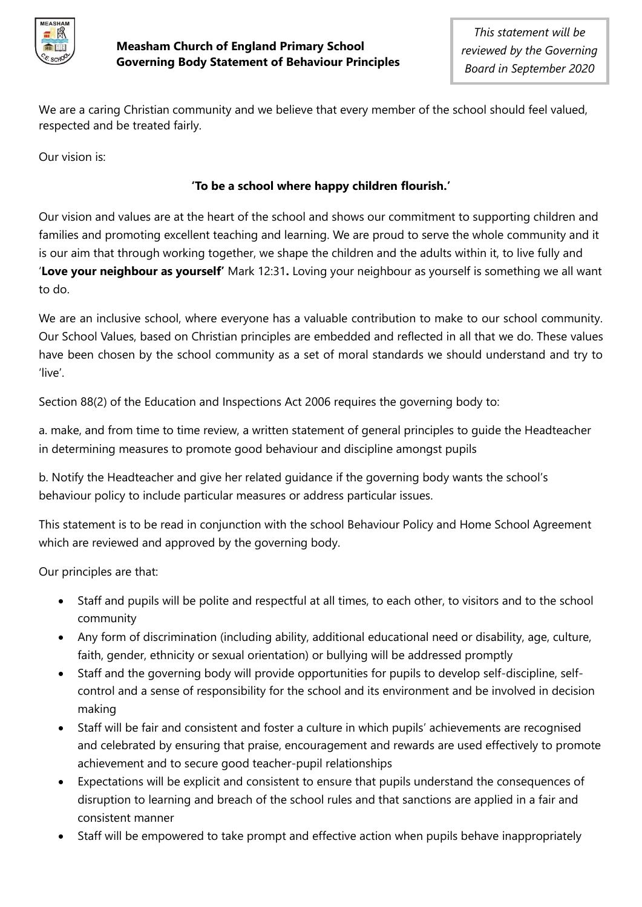

We are a caring Christian community and we believe that every member of the school should feel valued, respected and be treated fairly.

Our vision is:

## **'To be a school where happy children flourish.'**

Our vision and values are at the heart of the school and shows our commitment to supporting children and families and promoting excellent teaching and learning. We are proud to serve the whole community and it is our aim that through working together, we shape the children and the adults within it, to live fully and '**Love your neighbour as yourself'** Mark 12:31**.** Loving your neighbour as yourself is something we all want to do.

We are an inclusive school, where everyone has a valuable contribution to make to our school community. Our School Values, based on Christian principles are embedded and reflected in all that we do. These values have been chosen by the school community as a set of moral standards we should understand and try to 'live'.

Section 88(2) of the Education and Inspections Act 2006 requires the governing body to:

a. make, and from time to time review, a written statement of general principles to guide the Headteacher in determining measures to promote good behaviour and discipline amongst pupils

b. Notify the Headteacher and give her related guidance if the governing body wants the school's behaviour policy to include particular measures or address particular issues.

This statement is to be read in conjunction with the school Behaviour Policy and Home School Agreement which are reviewed and approved by the governing body.

Our principles are that:

- Staff and pupils will be polite and respectful at all times, to each other, to visitors and to the school community
- Any form of discrimination (including ability, additional educational need or disability, age, culture, faith, gender, ethnicity or sexual orientation) or bullying will be addressed promptly
- Staff and the governing body will provide opportunities for pupils to develop self-discipline, selfcontrol and a sense of responsibility for the school and its environment and be involved in decision making
- Staff will be fair and consistent and foster a culture in which pupils' achievements are recognised and celebrated by ensuring that praise, encouragement and rewards are used effectively to promote achievement and to secure good teacher-pupil relationships
- Expectations will be explicit and consistent to ensure that pupils understand the consequences of disruption to learning and breach of the school rules and that sanctions are applied in a fair and consistent manner
- Staff will be empowered to take prompt and effective action when pupils behave inappropriately